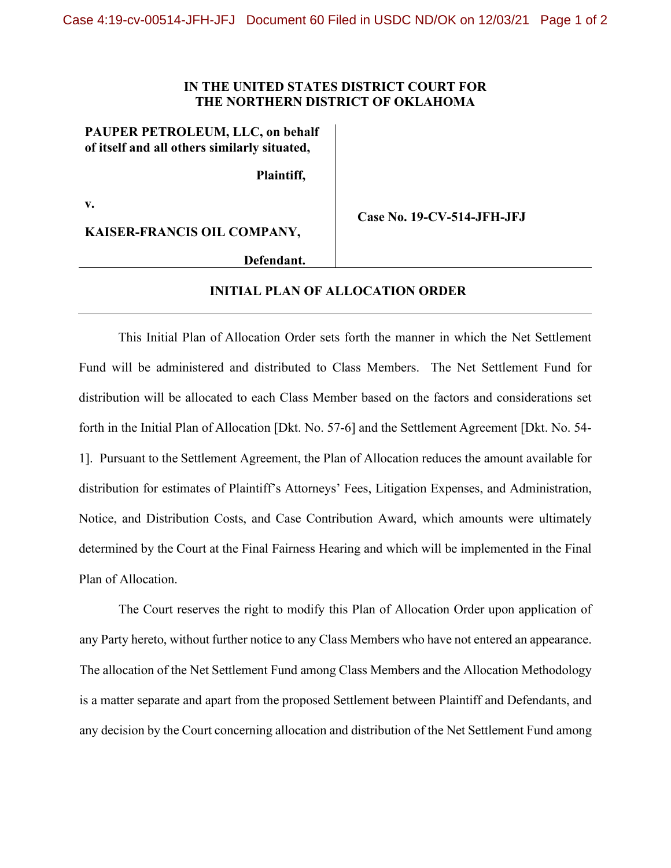## **IN THE UNITED STATES DISTRICT COURT FOR THE NORTHERN DISTRICT OF OKLAHOMA**

## **PAUPER PETROLEUM, LLC, on behalf of itself and all others similarly situated,**

**Plaintiff,**

**v.**

**KAISER-FRANCIS OIL COMPANY,**

**Case No. 19-CV-514-JFH-JFJ**

**Defendant.**

## **INITIAL PLAN OF ALLOCATION ORDER**

This Initial Plan of Allocation Order sets forth the manner in which the Net Settlement Fund will be administered and distributed to Class Members. The Net Settlement Fund for distribution will be allocated to each Class Member based on the factors and considerations set forth in the Initial Plan of Allocation [Dkt. No. 57-6] and the Settlement Agreement [Dkt. No. 54- 1]. Pursuant to the Settlement Agreement, the Plan of Allocation reduces the amount available for distribution for estimates of Plaintiff's Attorneys' Fees, Litigation Expenses, and Administration, Notice, and Distribution Costs, and Case Contribution Award, which amounts were ultimately determined by the Court at the Final Fairness Hearing and which will be implemented in the Final Plan of Allocation.

The Court reserves the right to modify this Plan of Allocation Order upon application of any Party hereto, without further notice to any Class Members who have not entered an appearance. The allocation of the Net Settlement Fund among Class Members and the Allocation Methodology is a matter separate and apart from the proposed Settlement between Plaintiff and Defendants, and any decision by the Court concerning allocation and distribution of the Net Settlement Fund among